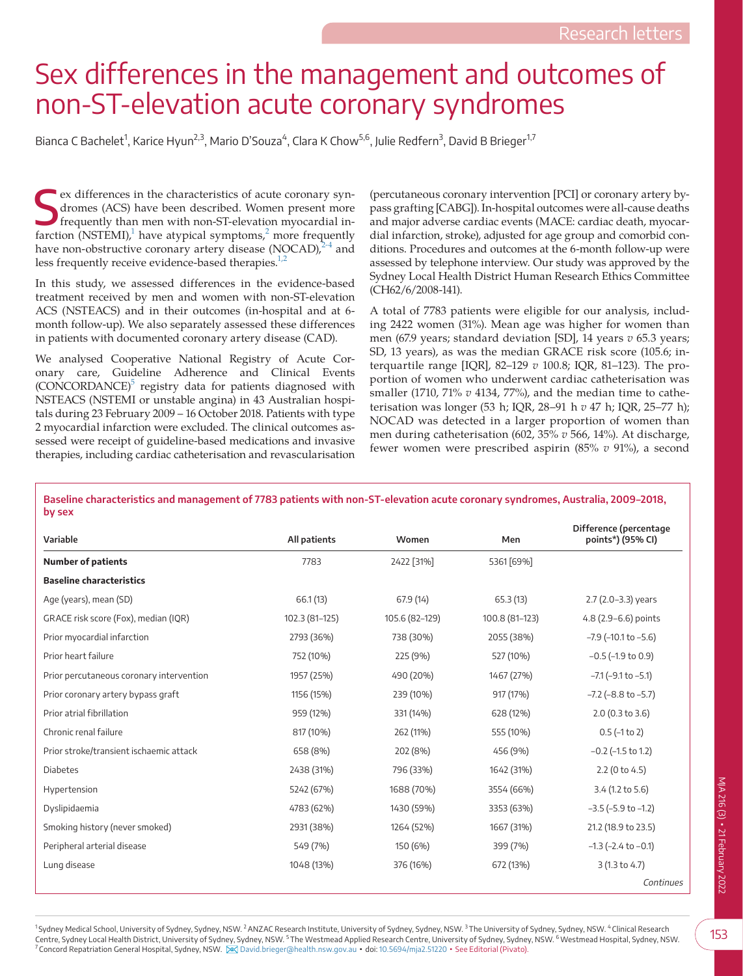## Sex differences in the management and outcomes of non-ST-elevation acute coronary syndromes

Bianca C Bachelet<sup>1</sup>, Karice Hyun<sup>2,3</sup>, Mario D'Souza<sup>4</sup>, Clara K Chow<sup>5,6</sup>, Julie Redfern<sup>3</sup>, David B Brieger<sup>1,7</sup>

Ex differences in the characteristics of acute coronary syndromes (ACS) have been described. Women present more frequently than men with non-ST-elevation myocardial infarction (NSTEMI),<sup>1</sup> have atypical symptoms,<sup>[2](#page-2-1)</sup> more f ex differences in the characteristics of acute coronary syndromes (ACS) have been described. Women present more frequently than men with non-ST-elevation myocardial inhave non-obstructive coronary artery disease (NOCAD) $^{2-4}$  $^{2-4}$  $^{2-4}$  and less frequently receive evidence-based therapies. $1/2$ 

In this study, we assessed differences in the evidence-based treatment received by men and women with non-ST-elevation ACS (NSTEACS) and in their outcomes (in-hospital and at 6 month follow-up). We also separately assessed these differences in patients with documented coronary artery disease (CAD).

We analysed Cooperative National Registry of Acute Coronary care, Guideline Adherence and Clinical Events (CONCORDANCE)<sup>5</sup> registry data for patients diagnosed with NSTEACS (NSTEMI or unstable angina) in 43 Australian hospitals during 23 February 2009 – 16 October 2018. Patients with type 2 myocardial infarction were excluded. The clinical outcomes assessed were receipt of guideline-based medications and invasive therapies, including cardiac catheterisation and revascularisation

(percutaneous coronary intervention [PCI] or coronary artery bypass grafting [CABG]). In-hospital outcomes were all-cause deaths and major adverse cardiac events (MACE: cardiac death, myocardial infarction, stroke), adjusted for age group and comorbid conditions. Procedures and outcomes at the 6-month follow-up were assessed by telephone interview. Our study was approved by the Sydney Local Health District Human Research Ethics Committee (CH62/6/2008-141).

A total of 7783 patients were eligible for our analysis, including 2422 women (31%). Mean age was higher for women than men (67.9 years; standard deviation [SD], 14 years *v* 65.3 years; SD, 13 years), as was the median GRACE risk score (105.6; interquartile range [IQR], 82–129 *v* 100.8; IQR, 81–123). The proportion of women who underwent cardiac catheterisation was smaller (1710, 71% *v* 4134, 77%), and the median time to catheterisation was longer (53 h; IQR, 28–91 h *v* 47 h; IQR, 25–77 h); NOCAD was detected in a larger proportion of women than men during catheterisation (602, 35% *v* 566, 14%). At discharge, fewer women were prescribed aspirin (85% *v* 91%), a second

<span id="page-0-0"></span>**Baseline characteristics and management of 7783 patients with non-ST-elevation acute coronary syndromes, Australia, 2009–2018, by sex**

| Variable                                 | All patients   | Women          | Men            | Difference (percentage<br>points*) (95% CI) |
|------------------------------------------|----------------|----------------|----------------|---------------------------------------------|
| <b>Number of patients</b>                | 7783           | 2422 [31%]     | 5361 [69%]     |                                             |
| <b>Baseline characteristics</b>          |                |                |                |                                             |
| Age (years), mean (SD)                   | 66.1(13)       | 67.9 (14)      | 65.3(13)       | 2.7 (2.0-3.3) years                         |
| GRACE risk score (Fox), median (IQR)     | 102.3 (81-125) | 105.6 (82-129) | 100.8 (81-123) | 4.8 (2.9-6.6) points                        |
| Prior myocardial infarction              | 2793 (36%)     | 738 (30%)      | 2055 (38%)     | $-7.9$ ( $-10.1$ to $-5.6$ )                |
| Prior heart failure                      | 752 (10%)      | 225 (9%)       | 527 (10%)      | $-0.5$ ( $-1.9$ to 0.9)                     |
| Prior percutaneous coronary intervention | 1957 (25%)     | 490 (20%)      | 1467 (27%)     | $-7.1$ ( $-9.1$ to $-5.1$ )                 |
| Prior coronary artery bypass graft       | 1156 (15%)     | 239 (10%)      | 917 (17%)      | $-7.2$ ( $-8.8$ to $-5.7$ )                 |
| Prior atrial fibrillation                | 959 (12%)      | 331 (14%)      | 628 (12%)      | 2.0 (0.3 to 3.6)                            |
| Chronic renal failure                    | 817 (10%)      | 262 (11%)      | 555 (10%)      | $0.5$ (-1 to 2)                             |
| Prior stroke/transient ischaemic attack  | 658 (8%)       | 202 (8%)       | 456 (9%)       | $-0.2$ ( $-1.5$ to 1.2)                     |
| <b>Diabetes</b>                          | 2438 (31%)     | 796 (33%)      | 1642 (31%)     | $2.2$ (0 to 4.5)                            |
| Hypertension                             | 5242 (67%)     | 1688 (70%)     | 3554 (66%)     | 3.4 (1.2 to 5.6)                            |
| Dyslipidaemia                            | 4783 (62%)     | 1430 (59%)     | 3353 (63%)     | $-3.5$ ( $-5.9$ to $-1.2$ )                 |
| Smoking history (never smoked)           | 2931 (38%)     | 1264 (52%)     | 1667 (31%)     | 21.2 (18.9 to 23.5)                         |
| Peripheral arterial disease              | 549 (7%)       | 150 (6%)       | 399 (7%)       | $-1.3$ ( $-2.4$ to $-0.1$ )                 |
| Lung disease                             | 1048 (13%)     | 376 (16%)      | 672 (13%)      | 3(1.3 to 4.7)                               |
|                                          |                |                |                | Continues                                   |

<sup>1</sup>Sydney Medical School, University of Sydney, Sydney, NSW. <sup>2</sup>ANZAC Research Institute, University of Sydney, NSW. <sup>3</sup>Ney, NSW. <sup>3</sup>The University of Sydney, Sydney, NSW. <sup>4</sup> Clinical Research Centre, Sydney Local Health District, University of Sydney, Sydney, NSW. <sup>5</sup> The Westmead Applied Research Centre, University of Sydney, Sydney, NSW. <sup>6</sup> Westmead Hospital, Sydney, NSW. <sup>7</sup>Concord Repatriation General Hospital, Sydney, NSW. [David.brieger@health.nsw.gov.au](mailto:﻿﻿David.brieger@health.nsw.gov.au﻿﻿) ▪ doi: [10.5694/mja2.51220](https://doi.org/10.5694/mja2.51220) ▪ See Editorial (Pivato).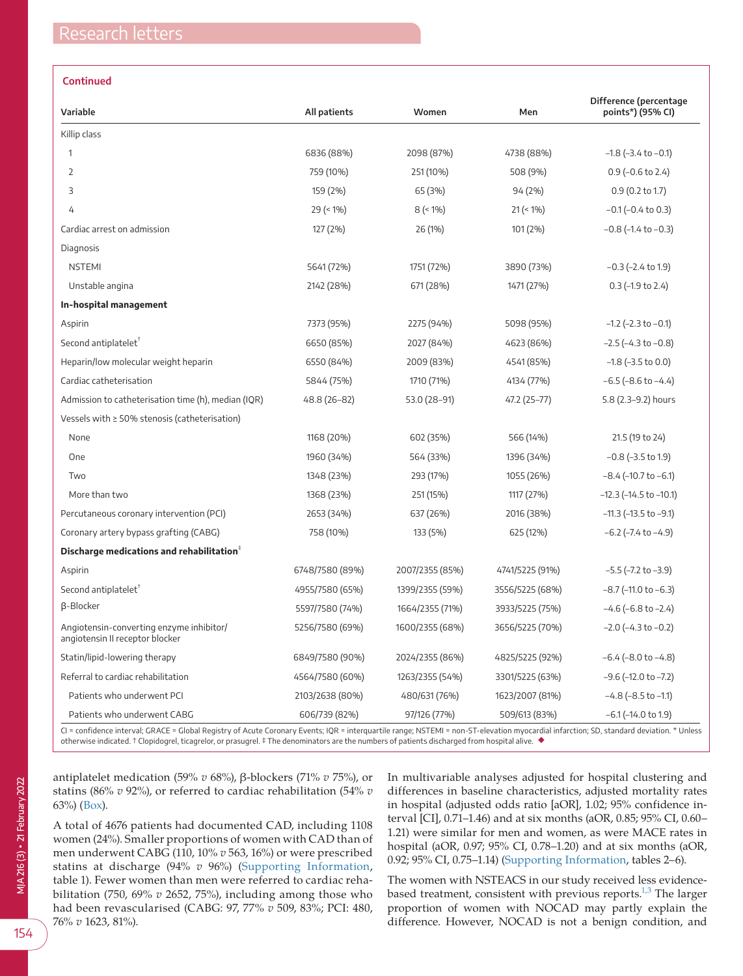## **Continued**

| Variable                                                                    | All patients    | Women           | Men             | Difference (percentage<br>points*) (95% CI) |
|-----------------------------------------------------------------------------|-----------------|-----------------|-----------------|---------------------------------------------|
| Killip class                                                                |                 |                 |                 |                                             |
| 1                                                                           | 6836 (88%)      | 2098 (87%)      | 4738 (88%)      | $-1.8$ ( $-3.4$ to $-0.1$ )                 |
| $\overline{2}$                                                              | 759 (10%)       | 251 (10%)       | 508 (9%)        | $0.9$ (-0.6 to 2.4)                         |
| 3                                                                           | 159 (2%)        | 65 (3%)         | 94 (2%)         | $0.9$ (0.2 to 1.7)                          |
| 4                                                                           | $29$ (< 1%)     | $8$ (< 1%)      | $21 (< 1\%)$    | $-0.1$ ( $-0.4$ to 0.3)                     |
| Cardiac arrest on admission                                                 | 127 (2%)        | 26 (1%)         | 101 (2%)        | $-0.8$ ( $-1.4$ to $-0.3$ )                 |
| Diagnosis                                                                   |                 |                 |                 |                                             |
| <b>NSTEMI</b>                                                               | 5641 (72%)      | 1751 (72%)      | 3890 (73%)      | $-0.3$ ( $-2.4$ to 1.9)                     |
| Unstable angina                                                             | 2142 (28%)      | 671 (28%)       | 1471 (27%)      | $0.3$ (-1.9 to 2.4)                         |
| In-hospital management                                                      |                 |                 |                 |                                             |
| Aspirin                                                                     | 7373 (95%)      | 2275 (94%)      | 5098 (95%)      | $-1.2$ ( $-2.3$ to $-0.1$ )                 |
| Second antiplatelet $T$                                                     | 6650 (85%)      | 2027 (84%)      | 4623 (86%)      | $-2.5$ ( $-4.3$ to $-0.8$ )                 |
| Heparin/low molecular weight heparin                                        | 6550 (84%)      | 2009 (83%)      | 4541 (85%)      | $-1.8$ ( $-3.5$ to 0.0)                     |
| Cardiac catheterisation                                                     | 5844 (75%)      | 1710 (71%)      | 4134 (77%)      | $-6.5$ ( $-8.6$ to $-4.4$ )                 |
| Admission to catheterisation time (h), median (IQR)                         | 48.8 (26-82)    | 53.0 (28-91)    | 47.2 (25-77)    | 5.8 (2.3-9.2) hours                         |
| Vessels with $\geq$ 50% stenosis (catheterisation)                          |                 |                 |                 |                                             |
| None                                                                        | 1168 (20%)      | 602 (35%)       | 566 (14%)       | 21.5 (19 to 24)                             |
| One                                                                         | 1960 (34%)      | 564 (33%)       | 1396 (34%)      | $-0.8$ ( $-3.5$ to 1.9)                     |
| Two                                                                         | 1348 (23%)      | 293 (17%)       | 1055 (26%)      | $-8.4$ (-10.7 to $-6.1$ )                   |
| More than two                                                               | 1368 (23%)      | 251 (15%)       | 1117 (27%)      | $-12.3$ ( $-14.5$ to $-10.1$ )              |
| Percutaneous coronary intervention (PCI)                                    | 2653 (34%)      | 637 (26%)       | 2016 (38%)      | $-11.3$ ( $-13.5$ to $-9.1$ )               |
| Coronary artery bypass grafting (CABG)                                      | 758 (10%)       | 133 (5%)        | 625 (12%)       | $-6.2$ ( $-7.4$ to $-4.9$ )                 |
| Discharge medications and rehabilitation $+$                                |                 |                 |                 |                                             |
| Aspirin                                                                     | 6748/7580 (89%) | 2007/2355 (85%) | 4741/5225 (91%) | $-5.5$ ( $-7.2$ to $-3.9$ )                 |
| Second antiplatelet <sup>™</sup>                                            | 4955/7580 (65%) | 1399/2355 (59%) | 3556/5225 (68%) | $-8.7$ ( $-11.0$ to $-6.3$ )                |
| β-Blocker                                                                   | 5597/7580 (74%) | 1664/2355 (71%) | 3933/5225 (75%) | $-4.6$ ( $-6.8$ to $-2.4$ )                 |
| Angiotensin-converting enzyme inhibitor/<br>angiotensin II receptor blocker | 5256/7580 (69%) | 1600/2355 (68%) | 3656/5225 (70%) | $-2.0$ ( $-4.3$ to $-0.2$ )                 |
| Statin/lipid-lowering therapy                                               | 6849/7580 (90%) | 2024/2355 (86%) | 4825/5225 (92%) | $-6.4$ ( $-8.0$ to $-4.8$ )                 |
| Referral to cardiac rehabilitation                                          | 4564/7580 (60%) | 1263/2355 (54%) | 3301/5225 (63%) | $-9.6$ ( $-12.0$ to $-7.2$ )                |
| Patients who underwent PCI                                                  | 2103/2638 (80%) | 480/631 (76%)   | 1623/2007 (81%) | $-4.8$ ( $-8.5$ to $-1.1$ )                 |
| Patients who underwent CABG                                                 | 606/739 (82%)   | 97/126 (77%)    | 509/613 (83%)   | $-6.1$ ( $-14.0$ to 1.9)                    |

CI = confidence interval; GRACE = Global Registry of Acute Coronary Events; IQR = interquartile range; NSTEMI = non-ST-elevation myocardial infarction; SD, standard deviation. \* Unless otherwise indicated. † Clopidogrel, ticagrelor, or prasugrel. ‡ The denominators are the numbers of patients discharged from hospital alive. ◆

antiplatelet medication (59% *v* 68%), β-blockers (71% *v* 75%), or statins (86% *v* 92%), or referred to cardiac rehabilitation (54% *v* 63%) ([Box\)](#page-0-0).

A total of 4676 patients had documented CAD, including 1108 women (24%). Smaller proportions of women with CAD than of men underwent CABG (110, 10% *v* 563, 16%) or were prescribed statins at discharge (94% *v* 96%) [\(Supporting Information,](#page-2-3) table 1). Fewer women than men were referred to cardiac rehabilitation (750, 69% *v* 2652, 75%), including among those who had been revascularised (CABG: 97, 77% *v* 509, 83%; PCI: 480, 76% *v* 1623, 81%).

In multivariable analyses adjusted for hospital clustering and differences in baseline characteristics, adjusted mortality rates in hospital (adjusted odds ratio [aOR], 1.02; 95% confidence interval [CI], 0.71–1.46) and at six months (aOR, 0.85; 95% CI, 0.60– 1.21) were similar for men and women, as were MACE rates in hospital (aOR, 0.97; 95% CI, 0.78–1.20) and at six months (aOR, 0.92; 95% CI, 0.75–1.14) [\(Supporting Information,](#page-2-3) tables 2–6).

The women with NSTEACS in our study received less evidencebased treatment, consistent with previous reports.<sup>1,3</sup> The larger proportion of women with NOCAD may partly explain the difference. However, NOCAD is not a benign condition, and